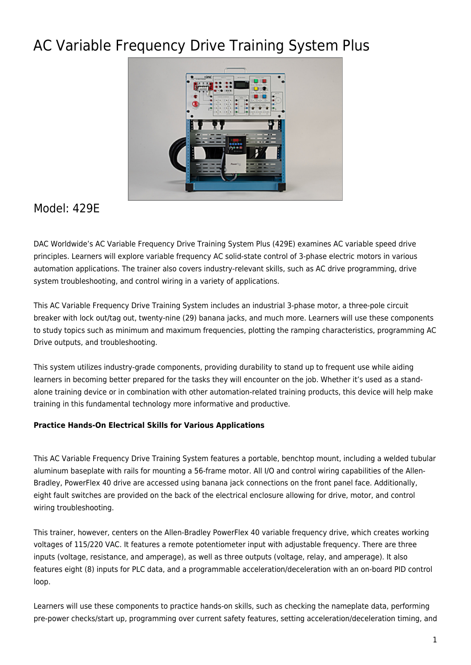# AC Variable Frequency Drive Training System Plus



# Model: 429E

DAC Worldwide's AC Variable Frequency Drive Training System Plus (429E) examines AC variable speed drive principles. Learners will explore variable frequency AC solid-state control of 3-phase electric motors in various automation applications. The trainer also covers industry-relevant skills, such as AC drive programming, drive system troubleshooting, and control wiring in a variety of applications.

This AC Variable Frequency Drive Training System includes an industrial 3-phase motor, a three-pole circuit breaker with lock out/tag out, twenty-nine (29) banana jacks, and much more. Learners will use these components to study topics such as minimum and maximum frequencies, plotting the ramping characteristics, programming AC Drive outputs, and troubleshooting.

This system utilizes industry-grade components, providing durability to stand up to frequent use while aiding learners in becoming better prepared for the tasks they will encounter on the job. Whether it's used as a standalone training device or in combination with other automation-related training products, this device will help make training in this fundamental technology more informative and productive.

## **Practice Hands-On Electrical Skills for Various Applications**

This AC Variable Frequency Drive Training System features a portable, benchtop mount, including a welded tubular aluminum baseplate with rails for mounting a 56-frame motor. All I/O and control wiring capabilities of the Allen-Bradley, PowerFlex 40 drive are accessed using banana jack connections on the front panel face. Additionally, eight fault switches are provided on the back of the electrical enclosure allowing for drive, motor, and control wiring troubleshooting.

This trainer, however, centers on the Allen-Bradley PowerFlex 40 variable frequency drive, which creates working voltages of 115/220 VAC. It features a remote potentiometer input with adjustable frequency. There are three inputs (voltage, resistance, and amperage), as well as three outputs (voltage, relay, and amperage). It also features eight (8) inputs for PLC data, and a programmable acceleration/deceleration with an on-board PID control loop.

Learners will use these components to practice hands-on skills, such as checking the nameplate data, performing pre-power checks/start up, programming over current safety features, setting acceleration/deceleration timing, and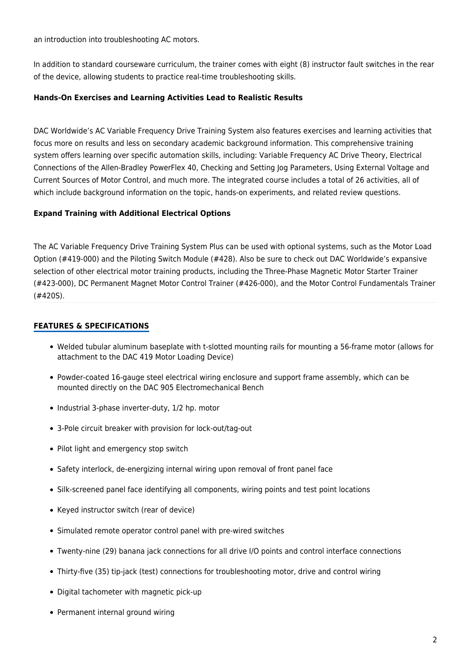an introduction into troubleshooting AC motors.

In addition to standard courseware curriculum, the trainer comes with eight (8) instructor fault switches in the rear of the device, allowing students to practice real-time troubleshooting skills.

### **Hands-On Exercises and Learning Activities Lead to Realistic Results**

DAC Worldwide's AC Variable Frequency Drive Training System also features exercises and learning activities that focus more on results and less on secondary academic background information. This comprehensive training system offers learning over specific automation skills, including: Variable Frequency AC Drive Theory, Electrical Connections of the Allen-Bradley PowerFlex 40, Checking and Setting Jog Parameters, Using External Voltage and Current Sources of Motor Control, and much more. The integrated course includes a total of 26 activities, all of which include background information on the topic, hands-on experiments, and related review questions.

#### **Expand Training with Additional Electrical Options**

The AC Variable Frequency Drive Training System Plus can be used with optional systems, such as the Motor Load Option (#419-000) and the Piloting Switch Module (#428). Also be sure to check out DAC Worldwide's expansive selection of other electrical motor training products, including the Three-Phase Magnetic Motor Starter Trainer (#423-000), DC Permanent Magnet Motor Control Trainer (#426-000), and the Motor Control Fundamentals Trainer (#420S).

#### **FEATURES & SPECIFICATIONS**

- Welded tubular aluminum baseplate with t-slotted mounting rails for mounting a 56-frame motor (allows for attachment to the DAC 419 Motor Loading Device)
- Powder-coated 16-gauge steel electrical wiring enclosure and support frame assembly, which can be mounted directly on the DAC 905 Electromechanical Bench
- Industrial 3-phase inverter-duty, 1/2 hp. motor
- 3-Pole circuit breaker with provision for lock-out/tag-out
- Pilot light and emergency stop switch
- Safety interlock, de-energizing internal wiring upon removal of front panel face
- Silk-screened panel face identifying all components, wiring points and test point locations
- Keyed instructor switch (rear of device)
- Simulated remote operator control panel with pre-wired switches
- Twenty-nine (29) banana jack connections for all drive I/O points and control interface connections
- Thirty-five (35) tip-jack (test) connections for troubleshooting motor, drive and control wiring
- Digital tachometer with magnetic pick-up
- Permanent internal ground wiring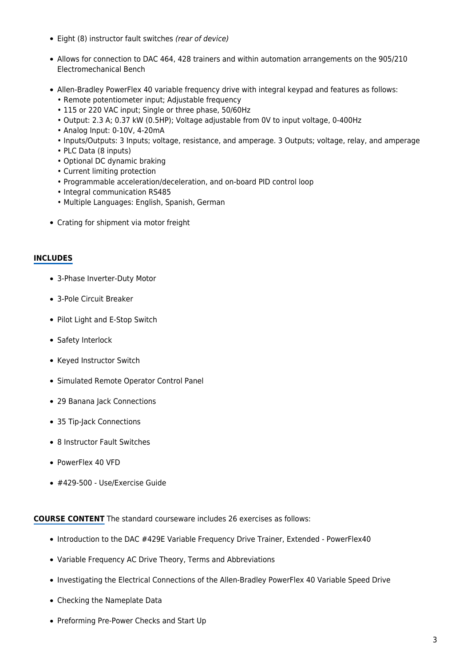- Eight (8) instructor fault switches (rear of device)
- Allows for connection to DAC 464, 428 trainers and within automation arrangements on the 905/210 Electromechanical Bench
- Allen-Bradley PowerFlex 40 variable frequency drive with integral keypad and features as follows:
	- Remote potentiometer input; Adjustable frequency
	- 115 or 220 VAC input; Single or three phase, 50/60Hz
	- Output: 2.3 A; 0.37 kW (0.5HP); Voltage adjustable from 0V to input voltage, 0-400Hz
	- Analog Input: 0-10V, 4-20mA
	- Inputs/Outputs: 3 Inputs; voltage, resistance, and amperage. 3 Outputs; voltage, relay, and amperage
	- PLC Data (8 inputs)
	- Optional DC dynamic braking
	- Current limiting protection
	- Programmable acceleration/deceleration, and on-board PID control loop
	- Integral communication RS485
	- Multiple Languages: English, Spanish, German
- Crating for shipment via motor freight

#### **INCLUDES**

- 3-Phase Inverter-Duty Motor
- 3-Pole Circuit Breaker
- Pilot Light and E-Stop Switch
- Safety Interlock
- Keyed Instructor Switch
- Simulated Remote Operator Control Panel
- 29 Banana Jack Connections
- 35 Tip-Jack Connections
- 8 Instructor Fault Switches
- PowerFlex 40 VFD
- #429-500 Use/Exercise Guide

**COURSE CONTENT** The standard courseware includes 26 exercises as follows:

- Introduction to the DAC #429E Variable Frequency Drive Trainer, Extended PowerFlex40
- Variable Frequency AC Drive Theory, Terms and Abbreviations
- Investigating the Electrical Connections of the Allen-Bradley PowerFlex 40 Variable Speed Drive
- Checking the Nameplate Data
- Preforming Pre-Power Checks and Start Up